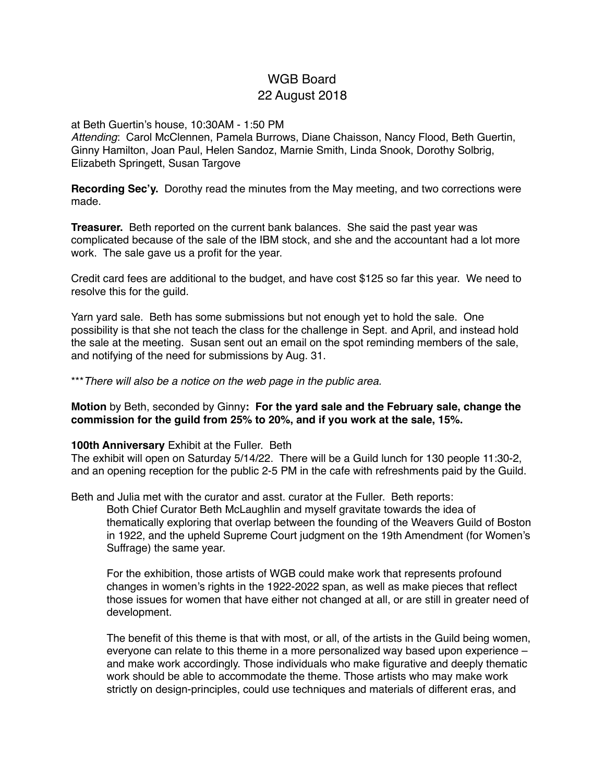# WGB Board 22 August 2018

#### at Beth Guertin's house, 10:30AM - 1:50 PM

*Attending*: Carol McClennen, Pamela Burrows, Diane Chaisson, Nancy Flood, Beth Guertin, Ginny Hamilton, Joan Paul, Helen Sandoz, Marnie Smith, Linda Snook, Dorothy Solbrig, Elizabeth Springett, Susan Targove

**Recording Sec'y.** Dorothy read the minutes from the May meeting, and two corrections were made.

**Treasurer.** Beth reported on the current bank balances. She said the past year was complicated because of the sale of the IBM stock, and she and the accountant had a lot more work. The sale gave us a profit for the year.

Credit card fees are additional to the budget, and have cost \$125 so far this year. We need to resolve this for the guild.

Yarn yard sale. Beth has some submissions but not enough yet to hold the sale. One possibility is that she not teach the class for the challenge in Sept. and April, and instead hold the sale at the meeting. Susan sent out an email on the spot reminding members of the sale, and notifying of the need for submissions by Aug. 31.

\*\*\**There will also be a notice on the web page in the public area.*

**Motion** by Beth, seconded by Ginny**: For the yard sale and the February sale, change the commission for the guild from 25% to 20%, and if you work at the sale, 15%.**

## **100th Anniversary** Exhibit at the Fuller. Beth

The exhibit will open on Saturday 5/14/22. There will be a Guild lunch for 130 people 11:30-2, and an opening reception for the public 2-5 PM in the cafe with refreshments paid by the Guild.

Beth and Julia met with the curator and asst. curator at the Fuller. Beth reports:

Both Chief Curator Beth McLaughlin and myself gravitate towards the idea of thematically exploring that overlap between the founding of the Weavers Guild of Boston in 1922, and the upheld Supreme Court judgment on the 19th Amendment (for Women's Suffrage) the same year.

For the exhibition, those artists of WGB could make work that represents profound changes in women's rights in the 1922-2022 span, as well as make pieces that reflect those issues for women that have either not changed at all, or are still in greater need of development.

The benefit of this theme is that with most, or all, of the artists in the Guild being women, everyone can relate to this theme in a more personalized way based upon experience – and make work accordingly. Those individuals who make figurative and deeply thematic work should be able to accommodate the theme. Those artists who may make work strictly on design-principles, could use techniques and materials of different eras, and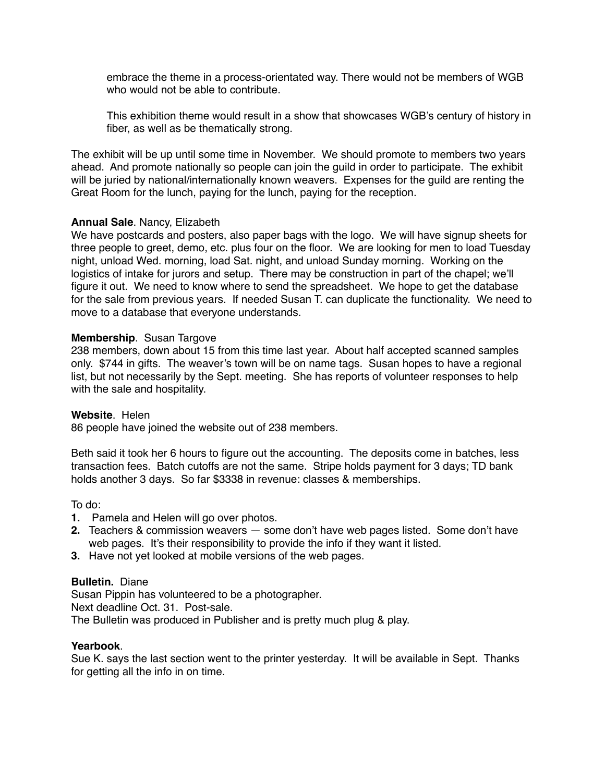embrace the theme in a process-orientated way. There would not be members of WGB who would not be able to contribute.

This exhibition theme would result in a show that showcases WGB's century of history in fiber, as well as be thematically strong.

The exhibit will be up until some time in November. We should promote to members two years ahead. And promote nationally so people can join the guild in order to participate. The exhibit will be juried by national/internationally known weavers. Expenses for the guild are renting the Great Room for the lunch, paying for the lunch, paying for the reception.

# **Annual Sale**. Nancy, Elizabeth

We have postcards and posters, also paper bags with the logo. We will have signup sheets for three people to greet, demo, etc. plus four on the floor. We are looking for men to load Tuesday night, unload Wed. morning, load Sat. night, and unload Sunday morning. Working on the logistics of intake for jurors and setup. There may be construction in part of the chapel; we'll figure it out. We need to know where to send the spreadsheet. We hope to get the database for the sale from previous years. If needed Susan T. can duplicate the functionality. We need to move to a database that everyone understands.

## **Membership**. Susan Targove

238 members, down about 15 from this time last year. About half accepted scanned samples only. \$744 in gifts. The weaver's town will be on name tags. Susan hopes to have a regional list, but not necessarily by the Sept. meeting. She has reports of volunteer responses to help with the sale and hospitality.

## **Website**. Helen

86 people have joined the website out of 238 members.

Beth said it took her 6 hours to figure out the accounting. The deposits come in batches, less transaction fees. Batch cutoffs are not the same. Stripe holds payment for 3 days; TD bank holds another 3 days. So far \$3338 in revenue: classes & memberships.

To do:

- **1.** Pamela and Helen will go over photos.
- **2.** Teachers & commission weavers some don't have web pages listed. Some don't have web pages. It's their responsibility to provide the info if they want it listed.
- **3.** Have not yet looked at mobile versions of the web pages.

## **Bulletin.** Diane

Susan Pippin has volunteered to be a photographer. Next deadline Oct. 31. Post-sale. The Bulletin was produced in Publisher and is pretty much plug & play.

## **Yearbook**.

Sue K. says the last section went to the printer yesterday. It will be available in Sept. Thanks for getting all the info in on time.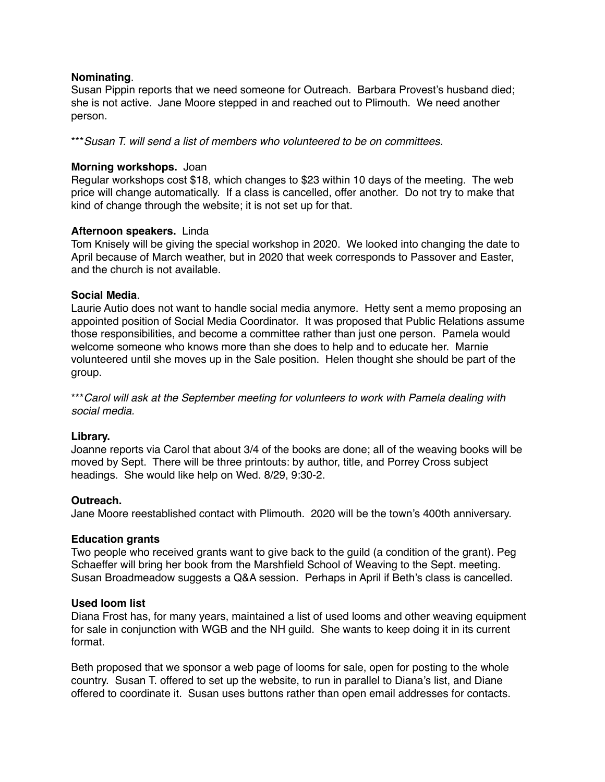# **Nominating**.

Susan Pippin reports that we need someone for Outreach. Barbara Provest's husband died; she is not active. Jane Moore stepped in and reached out to Plimouth. We need another person.

\*\*\**Susan T. will send a list of members who volunteered to be on committees.*

# **Morning workshops.** Joan

Regular workshops cost \$18, which changes to \$23 within 10 days of the meeting. The web price will change automatically. If a class is cancelled, offer another. Do not try to make that kind of change through the website; it is not set up for that.

# **Afternoon speakers.** Linda

Tom Knisely will be giving the special workshop in 2020. We looked into changing the date to April because of March weather, but in 2020 that week corresponds to Passover and Easter, and the church is not available.

# **Social Media**.

Laurie Autio does not want to handle social media anymore. Hetty sent a memo proposing an appointed position of Social Media Coordinator. It was proposed that Public Relations assume those responsibilities, and become a committee rather than just one person. Pamela would welcome someone who knows more than she does to help and to educate her. Marnie volunteered until she moves up in the Sale position. Helen thought she should be part of the group.

\*\*\**Carol will ask at the September meeting for volunteers to work with Pamela dealing with social media.*

## **Library.**

Joanne reports via Carol that about 3/4 of the books are done; all of the weaving books will be moved by Sept. There will be three printouts: by author, title, and Porrey Cross subject headings. She would like help on Wed. 8/29, 9:30-2.

## **Outreach.**

Jane Moore reestablished contact with Plimouth. 2020 will be the town's 400th anniversary.

## **Education grants**

Two people who received grants want to give back to the guild (a condition of the grant). Peg Schaeffer will bring her book from the Marshfield School of Weaving to the Sept. meeting. Susan Broadmeadow suggests a Q&A session. Perhaps in April if Beth's class is cancelled.

## **Used loom list**

Diana Frost has, for many years, maintained a list of used looms and other weaving equipment for sale in conjunction with WGB and the NH guild. She wants to keep doing it in its current format.

Beth proposed that we sponsor a web page of looms for sale, open for posting to the whole country. Susan T. offered to set up the website, to run in parallel to Diana's list, and Diane offered to coordinate it. Susan uses buttons rather than open email addresses for contacts.